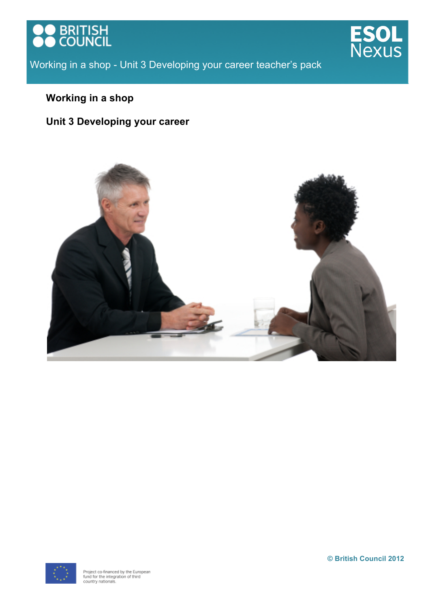





# **Working in a shop**

# **Unit 3 Developing your career**



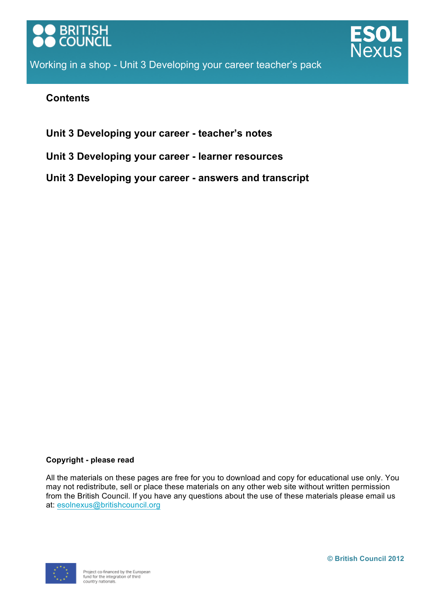



# **Contents**

**Unit 3 Developing your career - teacher's notes**

**Unit 3 Developing your career - learner resources**

**Unit 3 Developing your career - answers and transcript**

## **Copyright - please read**

All the materials on these pages are free for you to download and copy for educational use only. You may not redistribute, sell or place these materials on any other web site without written permission from the British Council. If you have any questions about the use of these materials please email us at: esolnexus@britishcouncil.org

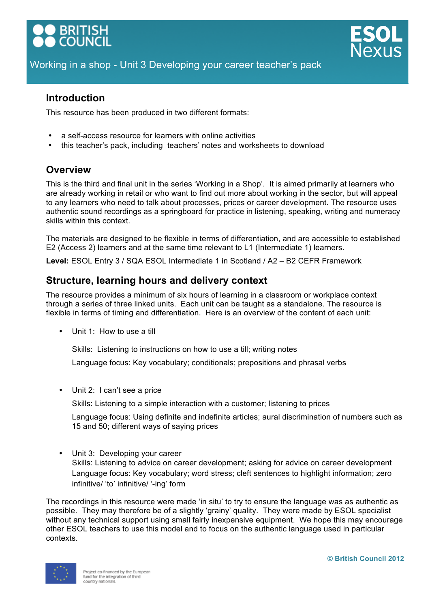

# **Introduction**

This resource has been produced in two different formats:

- a self-access resource for learners with online activities
- this teacher's pack, including teachers' notes and worksheets to download

# **Overview**

This is the third and final unit in the series 'Working in a Shop'. It is aimed primarily at learners who are already working in retail or who want to find out more about working in the sector, but will appeal to any learners who need to talk about processes, prices or career development. The resource uses authentic sound recordings as a springboard for practice in listening, speaking, writing and numeracy skills within this context.

The materials are designed to be flexible in terms of differentiation, and are accessible to established E2 (Access 2) learners and at the same time relevant to L1 (Intermediate 1) learners.

**Level:** ESOL Entry 3 / SQA ESOL Intermediate 1 in Scotland / A2 – B2 CEFR Framework

# **Structure, learning hours and delivery context**

The resource provides a minimum of six hours of learning in a classroom or workplace context through a series of three linked units. Each unit can be taught as a standalone. The resource is flexible in terms of timing and differentiation. Here is an overview of the content of each unit:

• Unit 1: How to use a till

Skills: Listening to instructions on how to use a till; writing notes

Language focus: Key vocabulary; conditionals; prepositions and phrasal verbs

• Unit 2: I can't see a price

Skills: Listening to a simple interaction with a customer; listening to prices

Language focus: Using definite and indefinite articles; aural discrimination of numbers such as 15 and 50; different ways of saying prices

• Unit 3: Developing your career Skills: Listening to advice on career development; asking for advice on career development Language focus: Key vocabulary; word stress; cleft sentences to highlight information; zero infinitive/ 'to' infinitive/ '-ing' form

The recordings in this resource were made 'in situ' to try to ensure the language was as authentic as possible. They may therefore be of a slightly 'grainy' quality. They were made by ESOL specialist without any technical support using small fairly inexpensive equipment. We hope this may encourage other ESOL teachers to use this model and to focus on the authentic language used in particular contexts.

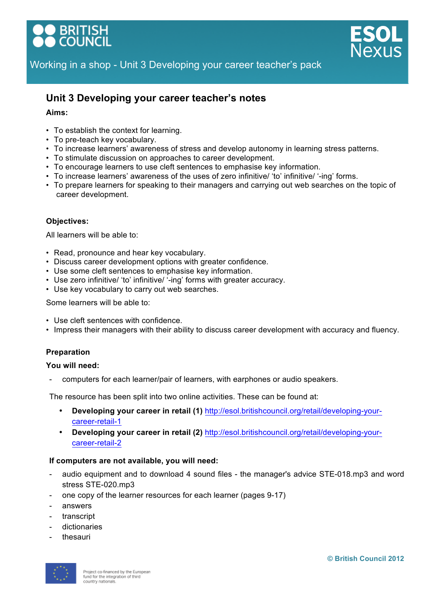

# **Unit 3 Developing your career teacher's notes**

#### **Aims:**

- To establish the context for learning.
- To pre-teach key vocabulary.
- To increase learners' awareness of stress and develop autonomy in learning stress patterns.
- To stimulate discussion on approaches to career development.
- To encourage learners to use cleft sentences to emphasise key information.
- To increase learners' awareness of the uses of zero infinitive/ 'to' infinitive/ '-ing' forms.
- To prepare learners for speaking to their managers and carrying out web searches on the topic of career development.

#### **Objectives:**

All learners will be able to:

- Read, pronounce and hear key vocabulary.
- Discuss career development options with greater confidence.
- Use some cleft sentences to emphasise key information.
- Use zero infinitive/ 'to' infinitive/ '-ing' forms with greater accuracy.
- Use key vocabulary to carry out web searches.

Some learners will be able to:

- Use cleft sentences with confidence.
- Impress their managers with their ability to discuss career development with accuracy and fluency.

#### **Preparation**

#### **You will need:**

- computers for each learner/pair of learners, with earphones or audio speakers.

The resource has been split into two online activities. These can be found at:

- **Developing your career in retail (1)** http://esol.britishcouncil.org/retail/developing-yourcareer-retail-1
- **Developing your career in retail (2)** http://esol.britishcouncil.org/retail/developing-yourcareer-retail-2

#### **If computers are not available, you will need:**

- audio equipment and to download 4 sound files the manager's advice STE-018.mp3 and word stress STE-020.mp3
- one copy of the learner resources for each learner (pages 9-17)
- answers
- transcript
- dictionaries
- thesauri

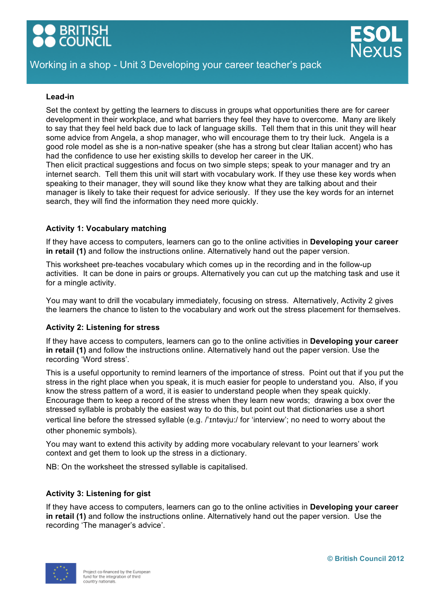

#### **Lead-in**

Set the context by getting the learners to discuss in groups what opportunities there are for career development in their workplace, and what barriers they feel they have to overcome. Many are likely to say that they feel held back due to lack of language skills. Tell them that in this unit they will hear some advice from Angela, a shop manager, who will encourage them to try their luck. Angela is a good role model as she is a non-native speaker (she has a strong but clear Italian accent) who has had the confidence to use her existing skills to develop her career in the UK.

Then elicit practical suggestions and focus on two simple steps; speak to your manager and try an internet search. Tell them this unit will start with vocabulary work. If they use these key words when speaking to their manager, they will sound like they know what they are talking about and their manager is likely to take their request for advice seriously. If they use the key words for an internet search, they will find the information they need more quickly.

#### **Activity 1: Vocabulary matching**

If they have access to computers, learners can go to the online activities in **Developing your career in retail (1)** and follow the instructions online. Alternatively hand out the paper version.

This worksheet pre-teaches vocabulary which comes up in the recording and in the follow-up activities. It can be done in pairs or groups. Alternatively you can cut up the matching task and use it for a mingle activity.

You may want to drill the vocabulary immediately, focusing on stress. Alternatively, Activity 2 gives the learners the chance to listen to the vocabulary and work out the stress placement for themselves.

#### **Activity 2: Listening for stress**

If they have access to computers, learners can go to the online activities in **Developing your career in retail (1)** and follow the instructions online. Alternatively hand out the paper version. Use the recording 'Word stress'.

This is a useful opportunity to remind learners of the importance of stress. Point out that if you put the stress in the right place when you speak, it is much easier for people to understand you. Also, if you know the stress pattern of a word, it is easier to understand people when they speak quickly. Encourage them to keep a record of the stress when they learn new words; drawing a box over the stressed syllable is probably the easiest way to do this, but point out that dictionaries use a short vertical line before the stressed syllable (e.g. /ˈɪntəvju:/ for 'interview'; no need to worry about the other phonemic symbols).

You may want to extend this activity by adding more vocabulary relevant to your learners' work context and get them to look up the stress in a dictionary.

NB: On the worksheet the stressed syllable is capitalised.

## **Activity 3: Listening for gist**

If they have access to computers, learners can go to the online activities in **Developing your career in retail (1)** and follow the instructions online. Alternatively hand out the paper version. Use the recording 'The manager's advice'.

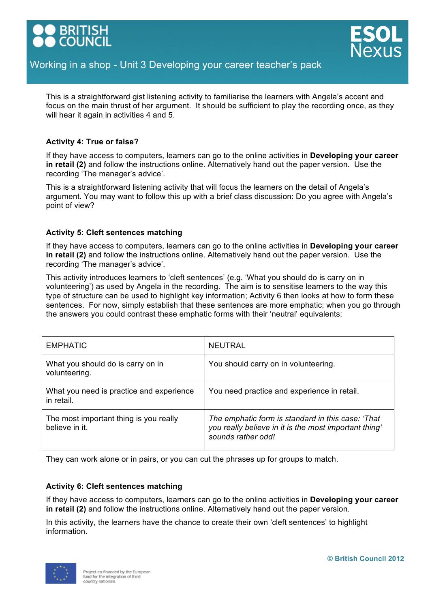



This is a straightforward gist listening activity to familiarise the learners with Angela's accent and focus on the main thrust of her argument. It should be sufficient to play the recording once, as they will hear it again in activities 4 and 5.

#### **Activity 4: True or false?**

If they have access to computers, learners can go to the online activities in **Developing your career in retail (2)** and follow the instructions online. Alternatively hand out the paper version. Use the recording 'The manager's advice'.

This is a straightforward listening activity that will focus the learners on the detail of Angela's argument. You may want to follow this up with a brief class discussion: Do you agree with Angela's point of view?

#### **Activity 5: Cleft sentences matching**

If they have access to computers, learners can go to the online activities in **Developing your career in retail (2)** and follow the instructions online. Alternatively hand out the paper version. Use the recording 'The manager's advice'.

This activity introduces learners to 'cleft sentences' (e.g. 'What you should do is carry on in volunteering') as used by Angela in the recording. The aim is to sensitise learners to the way this type of structure can be used to highlight key information; Activity 6 then looks at how to form these sentences. For now, simply establish that these sentences are more emphatic; when you go through the answers you could contrast these emphatic forms with their 'neutral' equivalents:

| <b>EMPHATIC</b>                                          | <b>NEUTRAL</b>                                                                                                                   |
|----------------------------------------------------------|----------------------------------------------------------------------------------------------------------------------------------|
| What you should do is carry on in<br>volunteering.       | You should carry on in volunteering.                                                                                             |
| What you need is practice and experience<br>in retail.   | You need practice and experience in retail.                                                                                      |
| The most important thing is you really<br>believe in it. | The emphatic form is standard in this case: 'That<br>you really believe in it is the most important thing'<br>sounds rather odd! |

They can work alone or in pairs, or you can cut the phrases up for groups to match.

#### **Activity 6: Cleft sentences matching**

If they have access to computers, learners can go to the online activities in **Developing your career in retail (2)** and follow the instructions online. Alternatively hand out the paper version.

In this activity, the learners have the chance to create their own 'cleft sentences' to highlight information.

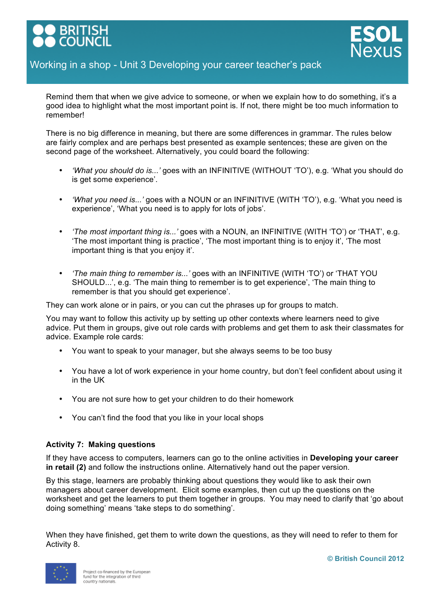

Remind them that when we give advice to someone, or when we explain how to do something, it's a good idea to highlight what the most important point is. If not, there might be too much information to remember!

There is no big difference in meaning, but there are some differences in grammar. The rules below are fairly complex and are perhaps best presented as example sentences; these are given on the second page of the worksheet. Alternatively, you could board the following:

- *'What you should do is...'* goes with an INFINITIVE (WITHOUT 'TO'), e.g. 'What you should do is get some experience'.
- *'What you need is...'* goes with a NOUN or an INFINITIVE (WITH 'TO'), e.g. 'What you need is experience', 'What you need is to apply for lots of jobs'.
- *'The most important thing is...'* goes with a NOUN, an INFINITIVE (WITH 'TO') or 'THAT', e.g. 'The most important thing is practice', 'The most important thing is to enjoy it', 'The most important thing is that you enjoy it'.
- *'The main thing to remember is...'* goes with an INFINITIVE (WITH 'TO') or 'THAT YOU SHOULD...', e.g. 'The main thing to remember is to get experience', 'The main thing to remember is that you should get experience'.

They can work alone or in pairs, or you can cut the phrases up for groups to match.

You may want to follow this activity up by setting up other contexts where learners need to give advice. Put them in groups, give out role cards with problems and get them to ask their classmates for advice. Example role cards:

- You want to speak to your manager, but she always seems to be too busy
- You have a lot of work experience in your home country, but don't feel confident about using it in the UK
- You are not sure how to get your children to do their homework
- You can't find the food that you like in your local shops

#### **Activity 7: Making questions**

If they have access to computers, learners can go to the online activities in **Developing your career in retail (2)** and follow the instructions online. Alternatively hand out the paper version.

By this stage, learners are probably thinking about questions they would like to ask their own managers about career development. Elicit some examples, then cut up the questions on the worksheet and get the learners to put them together in groups. You may need to clarify that 'go about doing something' means 'take steps to do something'.

When they have finished, get them to write down the questions, as they will need to refer to them for Activity 8.

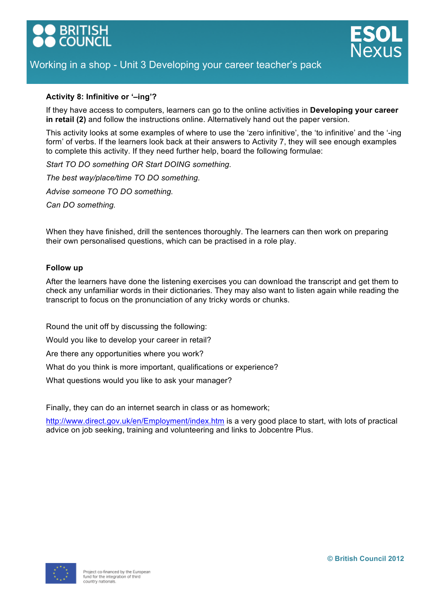



#### **Activity 8: Infinitive or '–ing'?**

If they have access to computers, learners can go to the online activities in **Developing your career in retail (2)** and follow the instructions online. Alternatively hand out the paper version.

This activity looks at some examples of where to use the 'zero infinitive', the 'to infinitive' and the '-ing form' of verbs. If the learners look back at their answers to Activity 7, they will see enough examples to complete this activity. If they need further help, board the following formulae:

*Start TO DO something OR Start DOING something.*

*The best way/place/time TO DO something. Advise someone TO DO something.*

*Can DO something.*

When they have finished, drill the sentences thoroughly. The learners can then work on preparing their own personalised questions, which can be practised in a role play.

#### **Follow up**

After the learners have done the listening exercises you can download the transcript and get them to check any unfamiliar words in their dictionaries. They may also want to listen again while reading the transcript to focus on the pronunciation of any tricky words or chunks.

Round the unit off by discussing the following:

Would you like to develop your career in retail?

Are there any opportunities where you work?

What do you think is more important, qualifications or experience?

What questions would you like to ask your manager?

Finally, they can do an internet search in class or as homework;

http://www.direct.gov.uk/en/Employment/index.htm is a very good place to start, with lots of practical advice on job seeking, training and volunteering and links to Jobcentre Plus.

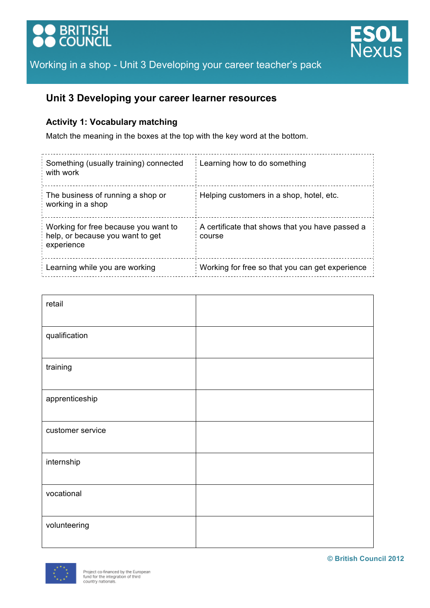



# **Unit 3 Developing your career learner resources**

## **Activity 1: Vocabulary matching**

Match the meaning in the boxes at the top with the key word at the bottom.

| Something (usually training) connected<br>with work                                    | Learning how to do something                              |
|----------------------------------------------------------------------------------------|-----------------------------------------------------------|
| The business of running a shop or<br>working in a shop                                 | Helping customers in a shop, hotel, etc.                  |
| Working for free because you want to<br>help, or because you want to get<br>experience | A certificate that shows that you have passed a<br>course |
| Learning while you are working                                                         | Working for free so that you can get experience           |

| retail           |  |
|------------------|--|
| qualification    |  |
| training         |  |
| apprenticeship   |  |
| customer service |  |
| internship       |  |
| vocational       |  |
| volunteering     |  |

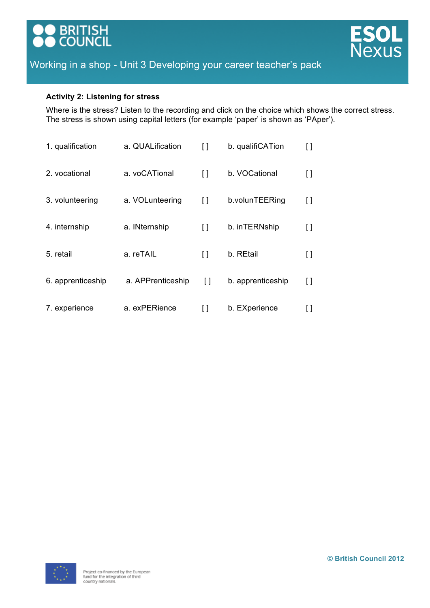



#### **Activity 2: Listening for stress**

Where is the stress? Listen to the recording and click on the choice which shows the correct stress. The stress is shown using capital letters (for example 'paper' is shown as 'PAper').

| 1. qualification  | a. QUALification  | ſ1     | b. qualifiCATion  |     |
|-------------------|-------------------|--------|-------------------|-----|
| 2. vocational     | a. voCATional     | $\Box$ | b. VOCational     | I l |
| 3. volunteering   | a. VOLunteering   | $\Box$ | b.volunTEERing    | I l |
| 4. internship     | a. INternship     | $\Box$ | b. inTERNship     | I l |
| 5. retail         | a. reTAIL         | I l    | b. REtail         | U   |
| 6. apprenticeship | a. APPrenticeship | Γl     | b. apprenticeship | H   |
| 7. experience     | a. exPERience     | ſ1     | b. EXperience     |     |

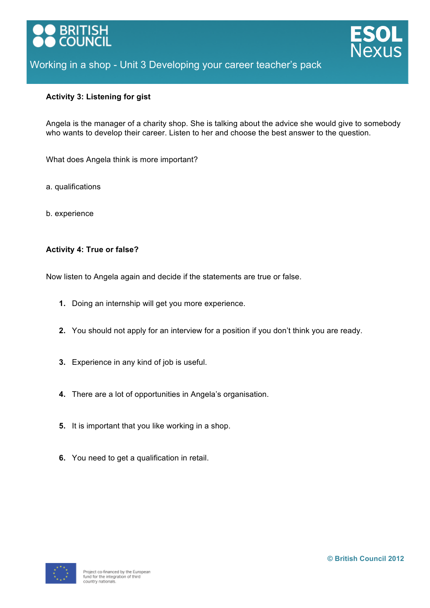



#### **Activity 3: Listening for gist**

Angela is the manager of a charity shop. She is talking about the advice she would give to somebody who wants to develop their career. Listen to her and choose the best answer to the question.

What does Angela think is more important?

- a. qualifications
- b. experience

#### **Activity 4: True or false?**

Now listen to Angela again and decide if the statements are true or false.

- **1.** Doing an internship will get you more experience.
- **2.** You should not apply for an interview for a position if you don't think you are ready.
- **3.** Experience in any kind of job is useful.
- **4.** There are a lot of opportunities in Angela's organisation.
- **5.** It is important that you like working in a shop.
- **6.** You need to get a qualification in retail.

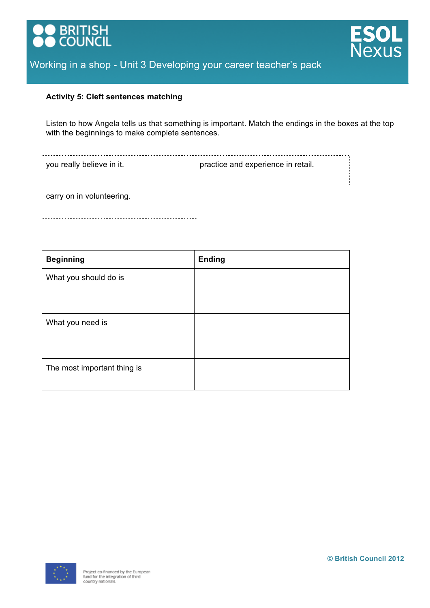



#### **Activity 5: Cleft sentences matching**

Listen to how Angela tells us that something is important. Match the endings in the boxes at the top with the beginnings to make complete sentences.

| you really believe in it. | practice and experience in retail. |
|---------------------------|------------------------------------|
| carry on in volunteering. |                                    |

| <b>Beginning</b>            | <b>Ending</b> |
|-----------------------------|---------------|
| What you should do is       |               |
|                             |               |
| What you need is            |               |
|                             |               |
| The most important thing is |               |
|                             |               |

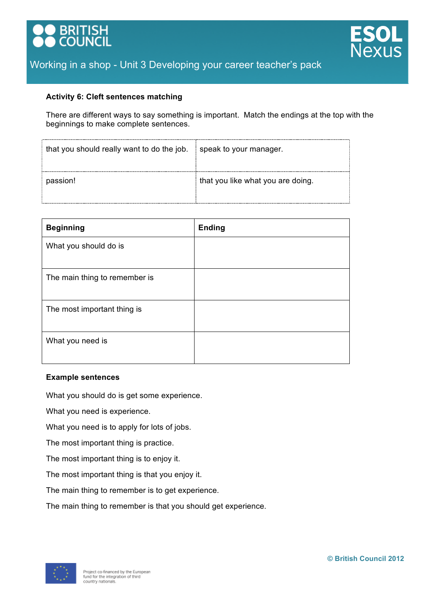



#### **Activity 6: Cleft sentences matching**

There are different ways to say something is important. Match the endings at the top with the beginnings to make complete sentences.

| that you should really want to do the job. | speak to your manager.            |
|--------------------------------------------|-----------------------------------|
| passion!                                   | that you like what you are doing. |

| <b>Beginning</b>              | <b>Ending</b> |
|-------------------------------|---------------|
| What you should do is         |               |
| The main thing to remember is |               |
| The most important thing is   |               |
| What you need is              |               |

#### **Example sentences**

What you should do is get some experience.

What you need is experience.

What you need is to apply for lots of jobs.

The most important thing is practice.

The most important thing is to enjoy it.

The most important thing is that you enjoy it.

The main thing to remember is to get experience.

The main thing to remember is that you should get experience.

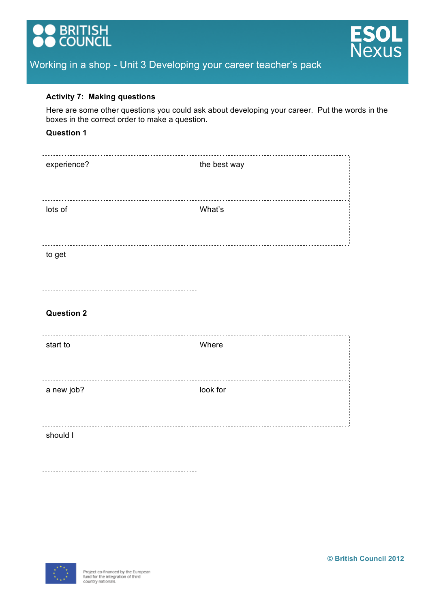



#### **Activity 7: Making questions**

Here are some other questions you could ask about developing your career. Put the words in the boxes in the correct order to make a question.

#### **Question 1**

| experience? | the best way |
|-------------|--------------|
|             |              |
| lots of     | What's       |
|             |              |
| to get      |              |
|             |              |

#### **Question 2**

| start to   | Where<br>÷,    |
|------------|----------------|
|            |                |
| a new job? | look for<br>ł. |
|            |                |
| should I   |                |
|            |                |

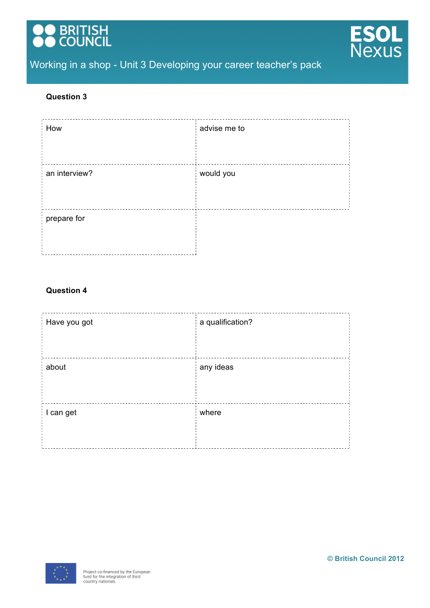



#### **Question 3**

| advise me to |
|--------------|
|              |
| would you    |
|              |
|              |
|              |
|              |

#### **Question 4**

| Have you got | a qualification?        |
|--------------|-------------------------|
| about        | any ideas               |
| I can get    | where<br>$\blacksquare$ |

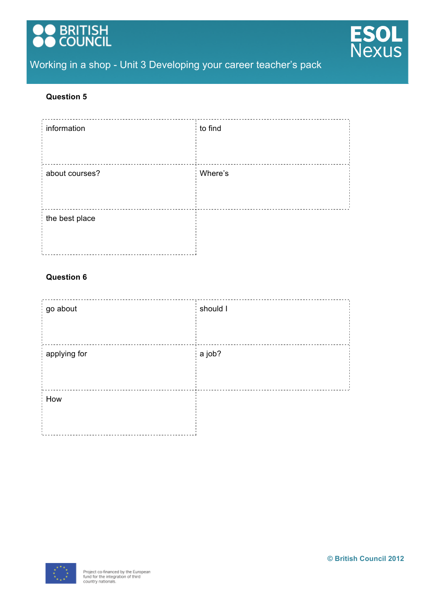



#### **Question 5**

| information    | to find |
|----------------|---------|
| about courses? | Where's |
| the best place |         |

## **Question 6**

| should I |
|----------|
|          |
| a job?   |
|          |
|          |
|          |
|          |

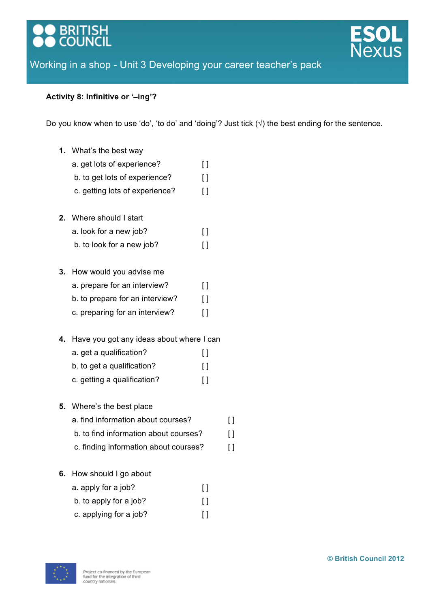# **BRITISH**<br>COUNCIL



# Working in a shop - Unit 3 Developing your career teacher's pack

## **Activity 8: Infinitive or '–ing'?**

Do you know when to use 'do', 'to do' and 'doing'? Just tick  $(\sqrt{ } )$  the best ending for the sentence.

- **1.** What's the best way
	- a. get lots of experience?
	- b. to get lots of experience? [ ]
	- c. getting lots of experience? [ ]
- **2.** Where should I start
	- a. look for a new job? [ ]
		- b. to look for a new job? [ ]
- **3.** How would you advise me
	- a. prepare for an interview? [ ]
	- b. to prepare for an interview? [ ]
	- c. preparing for an interview? [ ]
- **4.** Have you got any ideas about where I can
	- a. get a qualification? [ ]
	- b. to get a qualification? [ ]
	- c. getting a qualification? [ ]
- **5.** Where's the best place
	- a. find information about courses? [ ]
	- b. to find information about courses? [ ]
	- c. finding information about courses? [ ]
- **6.** How should I go about
	- a. apply for a job? [ ] b. to apply for a job? [ ] c. applying for a job? [ ]

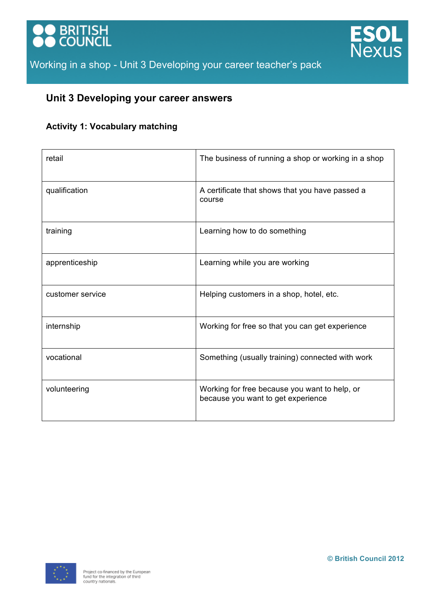



# **Unit 3 Developing your career answers**

# **Activity 1: Vocabulary matching**

| retail           | The business of running a shop or working in a shop                                 |
|------------------|-------------------------------------------------------------------------------------|
| qualification    | A certificate that shows that you have passed a<br>course                           |
| training         | Learning how to do something                                                        |
| apprenticeship   | Learning while you are working                                                      |
| customer service | Helping customers in a shop, hotel, etc.                                            |
| internship       | Working for free so that you can get experience                                     |
| vocational       | Something (usually training) connected with work                                    |
| volunteering     | Working for free because you want to help, or<br>because you want to get experience |

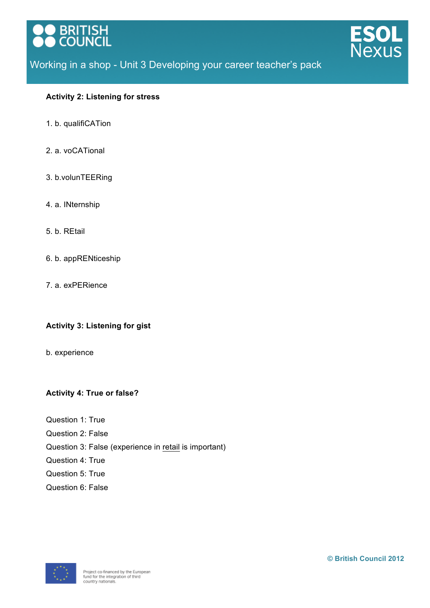



#### **Activity 2: Listening for stress**

- 1. b. qualifiCATion
- 2. a. voCATional
- 3. b.volunTEERing
- 4. a. INternship
- 5. b. REtail
- 6. b. appRENticeship
- 7. a. exPERience

## **Activity 3: Listening for gist**

b. experience

## **Activity 4: True or false?**

- Question 1: True
- Question 2: False
- Question 3: False (experience in retail is important)
- Question 4: True
- Question 5: True
- Question 6: False

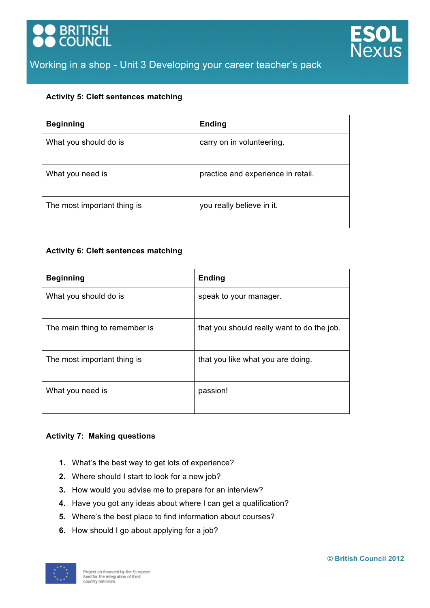



#### **Activity 5: Cleft sentences matching**

| <b>Beginning</b>            | <b>Ending</b>                      |
|-----------------------------|------------------------------------|
| What you should do is       | carry on in volunteering.          |
| What you need is            | practice and experience in retail. |
| The most important thing is | you really believe in it.          |

#### **Activity 6: Cleft sentences matching**

| <b>Beginning</b>              | <b>Ending</b>                              |
|-------------------------------|--------------------------------------------|
| What you should do is         | speak to your manager.                     |
| The main thing to remember is | that you should really want to do the job. |
| The most important thing is   | that you like what you are doing.          |
| What you need is              | passion!                                   |

#### **Activity 7: Making questions**

- **1.** What's the best way to get lots of experience?
- **2.** Where should I start to look for a new job?
- **3.** How would you advise me to prepare for an interview?
- **4.** Have you got any ideas about where I can get a qualification?
- **5.** Where's the best place to find information about courses?
- **6.** How should I go about applying for a job?

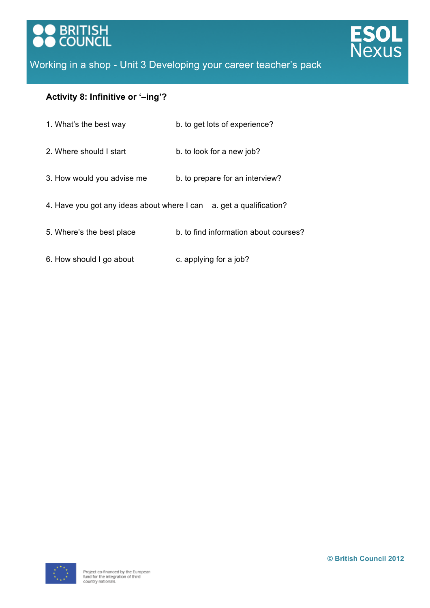



# **Activity 8: Infinitive or '–ing'?**

| 1. What's the best way                      | b. to get lots of experience?         |
|---------------------------------------------|---------------------------------------|
| 2. Where should I start                     | b. to look for a new job?             |
| 3. How would you advise me                  | b. to prepare for an interview?       |
| 4. Have you got any ideas about where I can | a. get a qualification?               |
| 5. Where's the best place                   | b, to find information about courses? |

6. How should I go about c. applying for a job?